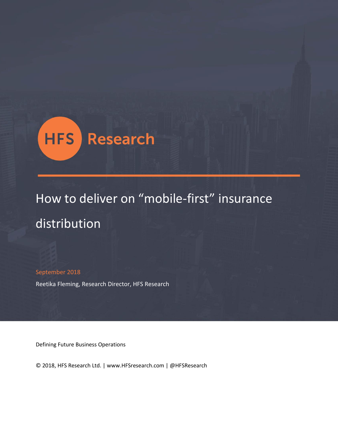

# How to deliver on "mobile-first" insurance distribution

September 2018

Reetika Fleming, Research Director, HFS Research

Defining Future Business Operations

© 2018, HFS Research Ltd. | www.HFSresearch.com | @HFSResearch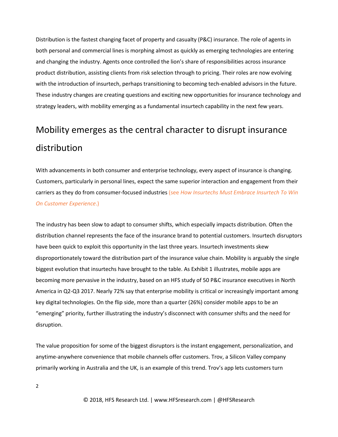Distribution is the fastest changing facet of property and casualty (P&C) insurance. The role of agents in both personal and commercial lines is morphing almost as quickly as emerging technologies are entering and changing the industry. Agents once controlled the lion's share of responsibilities across insurance product distribution, assisting clients from risk selection through to pricing. Their roles are now evolving with the introduction of insurtech, perhaps transitioning to becoming tech-enabled advisors in the future. These industry changes are creating questions and exciting new opportunities for insurance technology and strategy leaders, with mobility emerging as a fundamental insurtech capability in the next few years.

## Mobility emerges as the central character to disrupt insurance distribution

With advancements in both consumer and enterprise technology, every aspect of insurance is changing. Customers, particularly in personal lines, expect the same superior interaction and engagement from their carriers as they do from consumer-focused industries (see *[How Insurtechs Must Embrace Insurtech To Win](https://www.hfsresearch.com/pointsofview/how-insurance-carriers-must-embrace-insurtech-to-win-on-customer-experience)  [On Customer Experience](https://www.hfsresearch.com/pointsofview/how-insurance-carriers-must-embrace-insurtech-to-win-on-customer-experience)*.)

The industry has been slow to adapt to consumer shifts, which especially impacts distribution. Often the distribution channel represents the face of the insurance brand to potential customers. Insurtech disruptors have been quick to exploit this opportunity in the last three years. Insurtech investments skew disproportionately toward the distribution part of the insurance value chain. Mobility is arguably the single biggest evolution that insurtechs have brought to the table. As Exhibit 1 illustrates, mobile apps are becoming more pervasive in the industry, based on an HFS study of 50 P&C insurance executives in North America in Q2-Q3 2017. Nearly 72% say that enterprise mobility is critical or increasingly important among key digital technologies. On the flip side, more than a quarter (26%) consider mobile apps to be an "emerging" priority, further illustrating the industry's disconnect with consumer shifts and the need for disruption.

The value proposition for some of the biggest disruptors is the instant engagement, personalization, and anytime-anywhere convenience that mobile channels offer customers. Trov, a Silicon Valley company primarily working in Australia and the UK, is an example of this trend. Trov's app lets customers turn

2

© 2018, HFS Research Ltd. | www.HFSresearch.com | @HFSResearch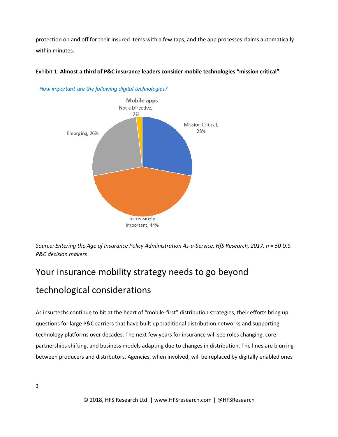protection on and off for their insured items with a few taps, and the app processes claims automatically within minutes.



Exhibit 1: **Almost a third of P&C insurance leaders consider mobile technologies "mission critical"**

*Source: Entering the Age of Insurance Policy Administration As-a-Service, HfS Research, 2017, n = 50 U.S. P&C decision makers*

## Your insurance mobility strategy needs to go beyond

### technological considerations

As insurtechs continue to hit at the heart of "mobile-first" distribution strategies, their efforts bring up questions for large P&C carriers that have built up traditional distribution networks and supporting technology platforms over decades. The next few years for insurance will see roles changing, core partnerships shifting, and business models adapting due to changes in distribution. The lines are blurring between producers and distributors. Agencies, when involved, will be replaced by digitally enabled ones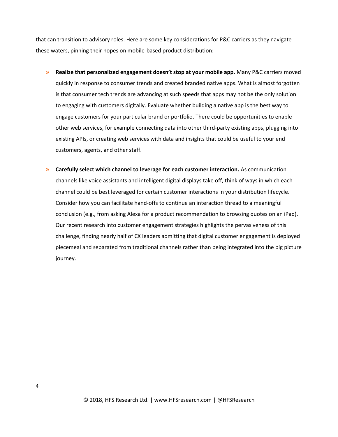that can transition to advisory roles. Here are some key considerations for P&C carriers as they navigate these waters, pinning their hopes on mobile-based product distribution:

- **» Realize that personalized engagement doesn't stop at your mobile app.** Many P&C carriers moved quickly in response to consumer trends and created branded native apps. What is almost forgotten is that consumer tech trends are advancing at such speeds that apps may not be the only solution to engaging with customers digitally. Evaluate whether building a native app is the best way to engage customers for your particular brand or portfolio. There could be opportunities to enable other web services, for example connecting data into other third-party existing apps, plugging into existing APIs, or creating web services with data and insights that could be useful to your end customers, agents, and other staff.
- **» Carefully select which channel to leverage for each customer interaction.** As communication channels like voice assistants and intelligent digital displays take off, think of ways in which each channel could be best leveraged for certain customer interactions in your distribution lifecycle. Consider how you can facilitate hand-offs to continue an interaction thread to a meaningful conclusion (e.g., from asking Alexa for a product recommendation to browsing quotes on an iPad). Our [recent research](https://www.hfsresearch.com/pointsofview/be-a-digital-enterprise-integrate-digital-and-traditional-customer-channels) into customer engagement strategies highlights the pervasiveness of this challenge, finding nearly half of CX leaders admitting that digital customer engagement is deployed piecemeal and separated from traditional channels rather than being integrated into the big picture journey.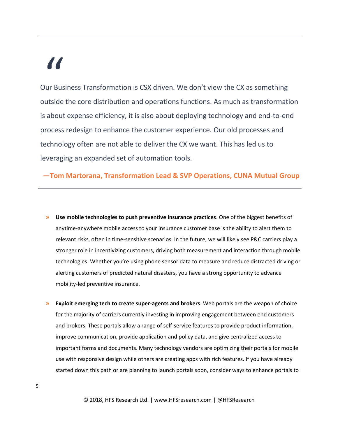# "

Our Business Transformation is CSX driven. We don't view the CX as something outside the core distribution and operations functions. As much as transformation is about expense efficiency, it is also about deploying technology and end-to-end process redesign to enhance the customer experience. Our old processes and technology often are not able to deliver the CX we want. This has led us to leveraging an expanded set of automation tools.

**—Tom Martorana, Transformation Lead & SVP Operations, CUNA Mutual Group**

- **» Use mobile technologies to push preventive insurance practices**. One of the biggest benefits of anytime-anywhere mobile access to your insurance customer base is the ability to alert them to relevant risks, often in time-sensitive scenarios. In the future, we will likely see P&C carriers play a stronger role in incentivizing customers, driving both measurement and interaction through mobile technologies. Whether you're using phone sensor data to measure and reduce distracted driving or alerting customers of predicted natural disasters, you have a strong opportunity to advance mobility-led preventive insurance.
- **» Exploit emerging tech to create super-agents and brokers**. Web portals are the weapon of choice for the majority of carriers currently investing in improving engagement between end customers and brokers. These portals allow a range of self-service features to provide product information, improve communication, provide application and policy data, and give centralized access to important forms and documents. Many technology vendors are optimizing their portals for mobile use with responsive design while others are creating apps with rich features. If you have already started down this path or are planning to launch portals soon, consider ways to enhance portals to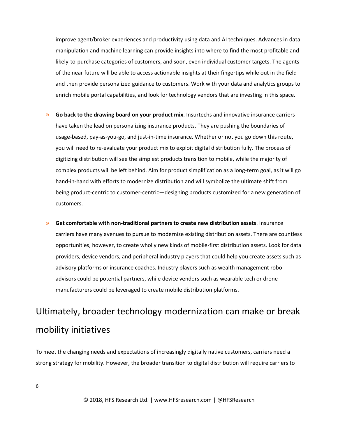improve agent/broker experiences and productivity using data and AI techniques. Advances in data manipulation and machine learning can provide insights into where to find the most profitable and likely-to-purchase categories of customers, and soon, even individual customer targets. The agents of the near future will be able to access actionable insights at their fingertips while out in the field and then provide personalized guidance to customers. Work with your data and analytics groups to enrich mobile portal capabilities, and look for technology vendors that are investing in this space.

- **» Go back to the drawing board on your product mix**. Insurtechs and innovative insurance carriers have taken the lead on personalizing insurance products. They are pushing the boundaries of usage-based, pay-as-you-go, and just-in-time insurance. Whether or not you go down this route, you will need to re-evaluate your product mix to exploit digital distribution fully. The process of digitizing distribution will see the simplest products transition to mobile, while the majority of complex products will be left behind. Aim for product simplification as a long-term goal, as it will go hand-in-hand with efforts to modernize distribution and will symbolize the ultimate shift from being product-centric to customer-centric—designing products customized for a new generation of customers.
- **» Get comfortable with non-traditional partners to create new distribution assets**. Insurance carriers have many avenues to pursue to modernize existing distribution assets. There are countless opportunities, however, to create wholly new kinds of mobile-first distribution assets. Look for data providers, device vendors, and peripheral industry players that could help you create assets such as advisory platforms or insurance coaches. Industry players such as wealth management roboadvisors could be potential partners, while device vendors such as wearable tech or drone manufacturers could be leveraged to create mobile distribution platforms.

## Ultimately, broader technology modernization can make or break mobility initiatives

To meet the changing needs and expectations of increasingly digitally native customers, carriers need a strong strategy for mobility. However, the broader transition to digital distribution will require carriers to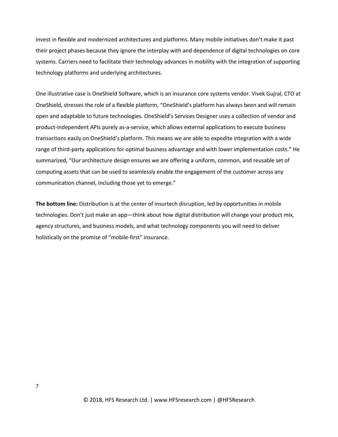invest in flexible and modernized architectures and platforms. Many mobile initiatives don't make it past their project phases because they ignore the interplay with and dependence of digital technologies on core systems. Carriers need to facilitate their technology advances in mobility with the integration of supporting technology platforms and underlying architectures.

One illustrative case is OneShield Software, which is an insurance core systems vendor. Vivek Gujral, CTO at OneShield, stresses the role of a flexible platform, "OneShield's platform has always been and will remain open and adaptable to future technologies. OneShield's Services Designer uses a collection of vendor and product-independent APIs purely as-a-service, which allows external applications to execute business transactions easily on OneShield's platform. This means we are able to expedite integration with a wide range of third-party applications for optimal business advantage and with lower implementation costs." He summarized, "Our architecture design ensures we are offering a uniform, common, and reusable set of computing assets that can be used to seamlessly enable the engagement of the customer across any communication channel, including those yet to emerge."

**The bottom line:** Distribution is at the center of insurtech disruption, led by opportunities in mobile technologies. Don't just make an app—think about how digital distribution will change your product mix, agency structures, and business models, and what technology components you will need to deliver holistically on the promise of "mobile-first" insurance.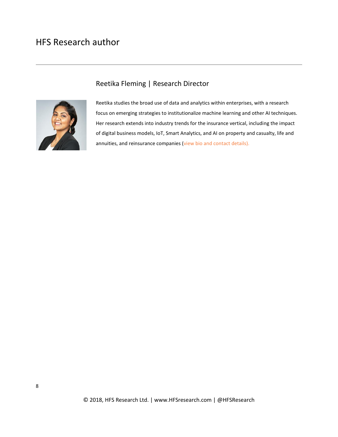### HFS Research author



### Reetika Fleming | Research Director

Reetika studies the broad use of data and analytics within enterprises, with a research focus on emerging strategies to institutionalize machine learning and other AI techniques. Her research extends into industry trends for the insurance vertical, including the impact of digital business models, IoT, Smart Analytics, and AI on property and casualty, life and annuities, and reinsurance companies [\(view bio and contact details\)](https://www.hfsresearch.com/team/reetika-fleming).